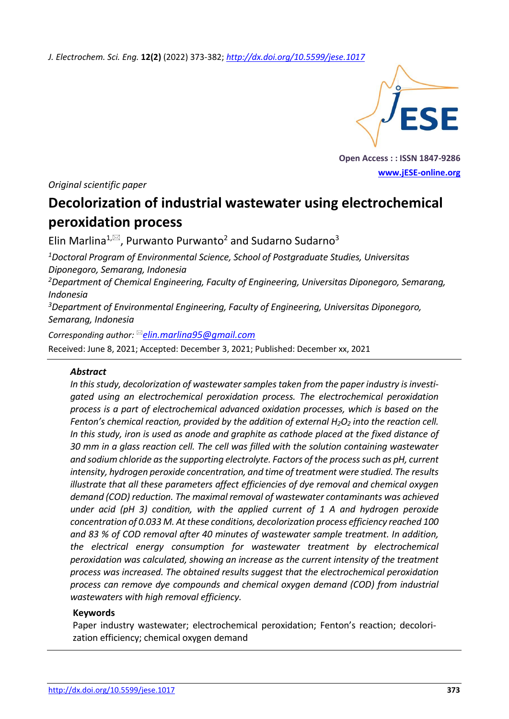*J. Electrochem. Sci. Eng.* **12(2)** (2022) 373-382; *<http://dx.doi.org/10.5599/jese.1017>*



**Open Access : : ISSN 1847-9286 [www.jESE-online.org](http://www.jese-online.org/)**

*Original scientific paper*

# **Decolorization of industrial wastewater using electrochemical peroxidation process**

Elin Marlina<sup>1, $\approx$ </sup>, Purwanto Purwanto<sup>2</sup> and Sudarno Sudarno<sup>3</sup>

*<sup>1</sup>Doctoral Program of Environmental Science, School of Postgraduate Studies, Universitas Diponegoro, Semarang, Indonesia*

*<sup>2</sup>Department of Chemical Engineering, Faculty of Engineering, Universitas Diponegoro, Semarang, Indonesia*

*<sup>3</sup>Department of Environmental Engineering, Faculty of Engineering, Universitas Diponegoro, Semarang, Indonesia*

*Corresponding author: [elin.marlina95@gmail.com](mailto:elin.marlina95@gmail.com)*

Received: June 8, 2021; Accepted: December 3, 2021; Published: December xx, 2021

## *Abstract*

*In this study, decolorization of wastewater samples taken from the paper industry is investigated using an electrochemical peroxidation process. The electrochemical peroxidation process is a part of electrochemical advanced oxidation processes, which is based on the Fenton's chemical reaction, provided by the addition of external H2O<sup>2</sup> into the reaction cell. In this study, iron is used as anode and graphite as cathode placed at the fixed distance of 30 mm in a glass reaction cell. The cell was filled with the solution containing wastewater and sodium chloride as the supporting electrolyte. Factors of the processsuch as pH, current intensity, hydrogen peroxide concentration, and time of treatment were studied. The results illustrate that all these parameters affect efficiencies of dye removal and chemical oxygen demand (COD) reduction. The maximal removal of wastewater contaminants was achieved under acid (pH 3) condition, with the applied current of 1 A and hydrogen peroxide concentration of 0.033 M. At these conditions, decolorization process efficiency reached 100 and 83 % of COD removal after 40 minutes of wastewater sample treatment. In addition, the electrical energy consumption for wastewater treatment by electrochemical peroxidation was calculated, showing an increase as the current intensity of the treatment process was increased. The obtained results suggest that the electrochemical peroxidation process can remove dye compounds and chemical oxygen demand (COD) from industrial wastewaters with high removal efficiency.*

#### **Keywords**

Paper industry wastewater; electrochemical peroxidation; Fenton's reaction; decolorization efficiency; chemical oxygen demand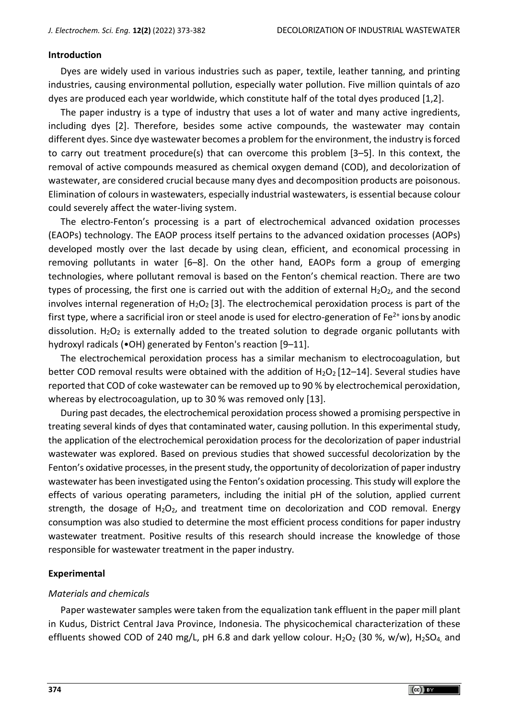#### **Introduction**

Dyes are widely used in various industries such as paper, textile, leather tanning, and printing industries, causing environmental pollution, especially water pollution. Five million quintals of azo dyes are produced each year worldwide, which constitute half of the total dyes produced [1,2].

The paper industry is a type of industry that uses a lot of water and many active ingredients, including dyes [2]. Therefore, besides some active compounds, the wastewater may contain different dyes. Since dye wastewater becomes a problem for the environment, the industry is forced to carry out treatment procedure(s) that can overcome this problem [3–5]. In this context, the removal of active compounds measured as chemical oxygen demand (COD), and decolorization of wastewater, are considered crucial because many dyes and decomposition products are poisonous. Elimination of colours in wastewaters, especially industrial wastewaters, is essential because colour could severely affect the water-living system.

The electro-Fenton's processing is a part of electrochemical advanced oxidation processes (EAOPs) technology. The EAOP process itself pertains to the advanced oxidation processes (AOPs) developed mostly over the last decade by using clean, efficient, and economical processing in removing pollutants in water [6–8]. On the other hand, EAOPs form a group of emerging technologies, where pollutant removal is based on the Fenton's chemical reaction. There are two types of processing, the first one is carried out with the addition of external  $H_2O_2$ , and the second involves internal regeneration of  $H_2O_2$  [3]. The electrochemical peroxidation process is part of the first type, where a sacrificial iron or steel anode is used for electro-generation of  $Fe<sup>2+</sup>$  ions by anodic dissolution.  $H_2O_2$  is externally added to the treated solution to degrade organic pollutants with hydroxyl radicals (•OH) generated by Fenton's reaction [9–11].

The electrochemical peroxidation process has a similar mechanism to electrocoagulation, but better COD removal results were obtained with the addition of  $H_2O_2$  [12–14]. Several studies have reported that COD of coke wastewater can be removed up to 90 % by electrochemical peroxidation, whereas by electrocoagulation, up to 30 % was removed only [13].

During past decades, the electrochemical peroxidation process showed a promising perspective in treating several kinds of dyes that contaminated water, causing pollution. In this experimental study, the application of the electrochemical peroxidation process for the decolorization of paper industrial wastewater was explored. Based on previous studies that showed successful decolorization by the Fenton's oxidative processes, in the present study, the opportunity of decolorization of paper industry wastewater has been investigated using the Fenton's oxidation processing. This study will explore the effects of various operating parameters, including the initial pH of the solution, applied current strength, the dosage of  $H_2O_2$ , and treatment time on decolorization and COD removal. Energy consumption was also studied to determine the most efficient process conditions for paper industry wastewater treatment. Positive results of this research should increase the knowledge of those responsible for wastewater treatment in the paper industry.

#### **Experimental**

#### *Materials and chemicals*

Paper wastewater samples were taken from the equalization tank effluent in the paper mill plant in Kudus, District Central Java Province, Indonesia. The physicochemical characterization of these effluents showed COD of 240 mg/L, pH 6.8 and dark yellow colour. H<sub>2</sub>O<sub>2</sub> (30 %, w/w), H<sub>2</sub>SO<sub>4</sub>, and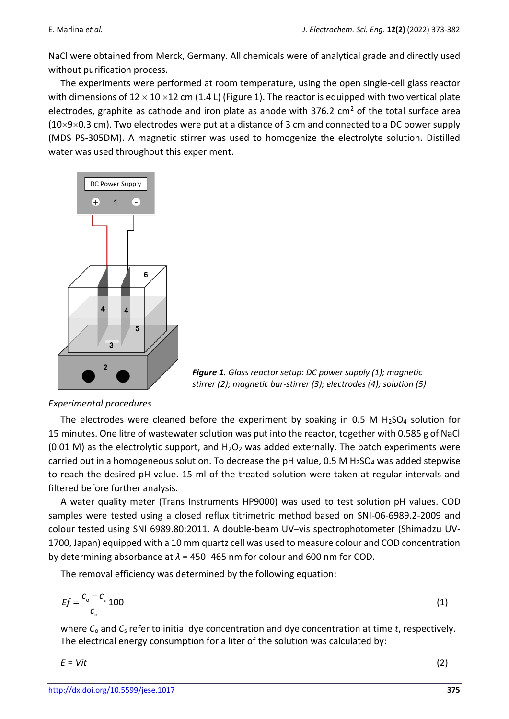NaCl were obtained from Merck, Germany. All chemicals were of analytical grade and directly used without purification process.

The experiments were performed at room temperature, using the open single-cell glass reactor with dimensions of  $12 \times 10 \times 12$  cm (1.4 L) (Figure 1). The reactor is equipped with two vertical plate electrodes, graphite as cathode and iron plate as anode with 376.2 cm<sup>2</sup> of the total surface area  $(10\times9\times0.3$  cm). Two electrodes were put at a distance of 3 cm and connected to a DC power supply (MDS PS-305DM). A magnetic stirrer was used to homogenize the electrolyte solution. Distilled water was used throughout this experiment.



*Figure 1. Glass reactor setup: DC power supply (1); magnetic stirrer (2); magnetic bar-stirrer (3); electrodes (4); solution (5)*

## *Experimental procedures*

The electrodes were cleaned before the experiment by soaking in 0.5 M  $H<sub>2</sub>SO<sub>4</sub>$  solution for 15 minutes. One litre of wastewater solution was put into the reactor, together with 0.585 g of NaCl (0.01 M) as the electrolytic support, and  $H_2O_2$  was added externally. The batch experiments were carried out in a homogeneous solution. To decrease the pH value,  $0.5$  M H<sub>2</sub>SO<sub>4</sub> was added stepwise to reach the desired pH value. 15 ml of the treated solution were taken at regular intervals and filtered before further analysis.

A water quality meter (Trans Instruments HP9000) was used to test solution pH values. COD samples were tested using a closed reflux titrimetric method based on SNI-06-6989.2-2009 and colour tested using SNI 6989.80:2011. A double-beam UV–vis spectrophotometer (Shimadzu UV-1700, Japan) equipped with a 10 mm quartz cell was used to measure colour and COD concentration by determining absorbance at *λ* = 450–465 nm for colour and 600 nm for COD.

The removal efficiency was determined by the following equation:

$$
Ef = \frac{c_o - c_s}{c_o} 100
$$
 (1)

where *C*<sup>o</sup> and *C*<sup>s</sup> refer to initial dye concentration and dye concentration at time *t*, respectively. The electrical energy consumption for a liter of the solution was calculated by:

$$
E = Vit
$$
 (2)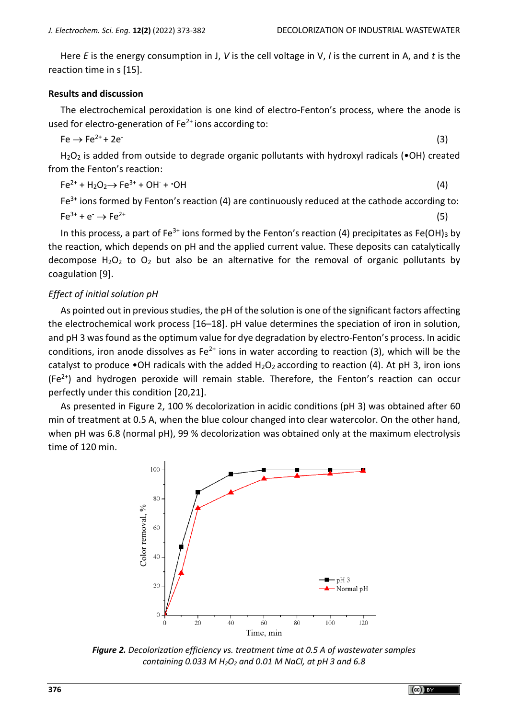(3)

Here *E* is the energy consumption in J, *V* is the cell voltage in V, *I* is the current in A, and *t* is the reaction time in s [15].

#### **Results and discussion**

The electrochemical peroxidation is one kind of electro-Fenton's process, where the anode is used for electro-generation of  $Fe<sup>2+</sup>$  ions according to:

$$
Fe \rightarrow Fe^{2+} + 2e^-
$$

H<sub>2</sub>O<sub>2</sub> is added from outside to degrade organic pollutants with hydroxyl radicals ( $\bullet$ OH) created from the Fenton's reaction:

$$
Fe^{2+} + H_2O_2 \rightarrow Fe^{3+} + OH^- + \cdot OH \tag{4}
$$

 $Fe<sup>3+</sup>$  ions formed by Fenton's reaction (4) are continuously reduced at the cathode according to:  $Fe^{3+} + e^- \rightarrow Fe^{2+}$  (5)

In this process, a part of Fe<sup>3+</sup> ions formed by the Fenton's reaction (4) precipitates as Fe(OH)<sub>3</sub> by the reaction, which depends on pH and the applied current value. These deposits can catalytically decompose  $H_2O_2$  to  $O_2$  but also be an alternative for the removal of organic pollutants by coagulation [9].

## *Effect of initial solution pH*

As pointed out in previous studies, the pH of the solution is one of the significant factors affecting the electrochemical work process [16–18]. pH value determines the speciation of iron in solution, and pH 3 was found as the optimum value for dye degradation by electro-Fenton's process. In acidic conditions, iron anode dissolves as  $Fe^{2+}$  ions in water according to reaction (3), which will be the catalyst to produce •OH radicals with the added  $H_2O_2$  according to reaction (4). At pH 3, iron ions  $(Fe<sup>2+</sup>)$  and hydrogen peroxide will remain stable. Therefore, the Fenton's reaction can occur perfectly under this condition [20,21].

As presented in [Figure 2,](#page-3-0) 100 % decolorization in acidic conditions (pH 3) was obtained after 60 min of treatment at 0.5 A, when the blue colour changed into clear watercolor. On the other hand, when pH was 6.8 (normal pH), 99 % decolorization was obtained only at the maximum electrolysis time of 120 min.



<span id="page-3-0"></span>*Figure 2. Decolorization efficiency vs. treatment time at 0.5 A of wastewater samples containing 0.033 M H2O<sup>2</sup> and 0.01 M NaCl, at pH 3 and 6.8*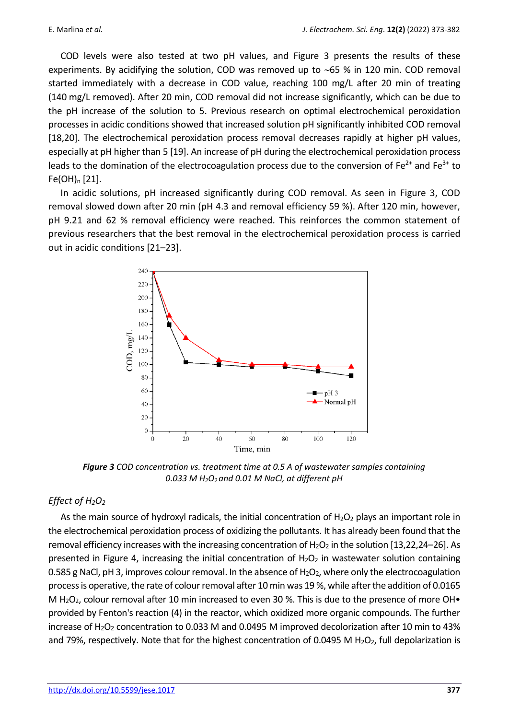COD levels were also tested at two pH values, and [Figure 3](#page-4-0) presents the results of these experiments. By acidifying the solution, COD was removed up to  $~65$  % in 120 min. COD removal started immediately with a decrease in COD value, reaching 100 mg/L after 20 min of treating (140 mg/L removed). After 20 min, COD removal did not increase significantly, which can be due to the pH increase of the solution to 5. Previous research on optimal electrochemical peroxidation processes in acidic conditions showed that increased solution pH significantly inhibited COD removal [18,20]. The electrochemical peroxidation process removal decreases rapidly at higher pH values, especially at pH higher than 5 [19]. An increase of pH during the electrochemical peroxidation process leads to the domination of the electrocoagulation process due to the conversion of  $Fe^{2+}$  and  $Fe^{3+}$  to  $Fe(OH)<sub>n</sub>$  [21].

In acidic solutions, pH increased significantly during COD removal. As seen in Figure 3, COD removal slowed down after 20 min (pH 4.3 and removal efficiency 59 %). After 120 min, however, pH 9.21 and 62 % removal efficiency were reached. This reinforces the common statement of previous researchers that the best removal in the electrochemical peroxidation process is carried out in acidic conditions [21–23].



<span id="page-4-0"></span>*Figure 3 COD concentration vs. treatment time at 0.5 A of wastewater samples containing 0.033 M H2O2 and 0.01 M NaCl, at different pH* 

## *Effect of H2O<sup>2</sup>*

As the main source of hydroxyl radicals, the initial concentration of  $H_2O_2$  plays an important role in the electrochemical peroxidation process of oxidizing the pollutants. It has already been found that the removal efficiency increases with the increasing concentration of  $H_2O_2$  in the solution [13,22,24–26]. As presented in [Figure 4,](#page-5-0) increasing the initial concentration of  $H_2O_2$  in wastewater solution containing 0.585 g NaCl, pH 3, improves colour removal. In the absence of  $H_2O_2$ , where only the electrocoagulation process is operative, the rate of colour removal after 10 min was 19 %, while after the addition of 0.0165 M H<sub>2</sub>O<sub>2</sub>, colour removal after 10 min increased to even 30 %. This is due to the presence of more OH $\bullet$ provided by Fenton's reaction (4) in the reactor, which oxidized more organic compounds. The further increase of H<sub>2</sub>O<sub>2</sub> concentration to 0.033 M and 0.0495 M improved decolorization after 10 min to 43% and 79%, respectively. Note that for the highest concentration of 0.0495 M H<sub>2</sub>O<sub>2</sub>, full depolarization is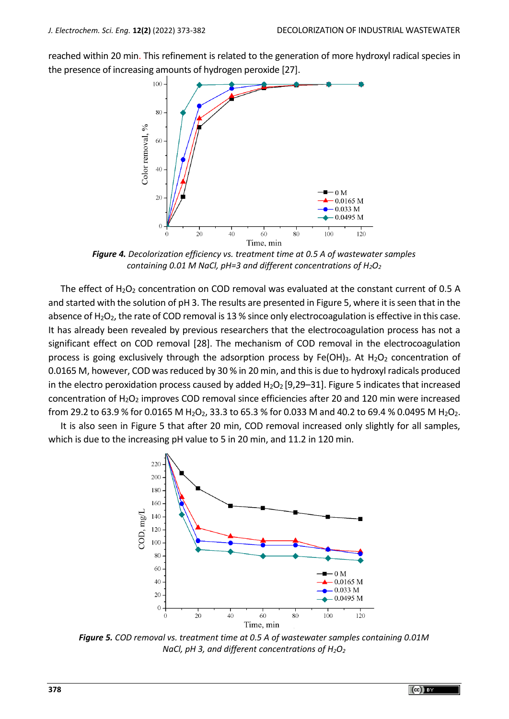reached within 20 min. This refinement is related to the generation of more hydroxyl radical species in the presence of increasing amounts of hydrogen peroxide [27].



*Figure 4. Decolorization efficiency vs. treatment time at 0.5 A of wastewater samples containing 0.01 M NaCl, pH=3 and different concentrations of H2O<sup>2</sup>*

<span id="page-5-0"></span>The effect of  $H_2O_2$  concentration on COD removal was evaluated at the constant current of 0.5 A and started with the solution of pH 3. The results are presented in Figure 5, where it is seen that in the absence of  $H_2O_2$ , the rate of COD removal is 13 % since only electrocoagulation is effective in this case. It has already been revealed by previous researchers that the electrocoagulation process has not a significant effect on COD removal [28]. The mechanism of COD removal in the electrocoagulation process is going exclusively through the adsorption process by Fe(OH)<sub>3</sub>. At H<sub>2</sub>O<sub>2</sub> concentration of 0.0165 M, however, COD was reduced by 30 % in 20 min, and this is due to hydroxyl radicals produced in the electro peroxidation process caused by added  $H_2O_2$  [9,29–31][. Figure 5](#page-5-1) indicates that increased concentration of H<sub>2</sub>O<sub>2</sub> improves COD removal since efficiencies after 20 and 120 min were increased from 29.2 to 63.9 % for 0.0165 M H<sub>2</sub>O<sub>2</sub>, 33.3 to 65.3 % for 0.033 M and 40.2 to 69.4 % 0.0495 M H<sub>2</sub>O<sub>2</sub>.

It is also seen in Figure 5 that after 20 min, COD removal increased only slightly for all samples, which is due to the increasing pH value to 5 in 20 min, and 11.2 in 120 min.



<span id="page-5-1"></span>*Figure 5. COD removal vs. treatment time at 0.5 A of wastewater samples containing 0.01M NaCl, pH 3, and different concentrations of H2O<sup>2</sup>*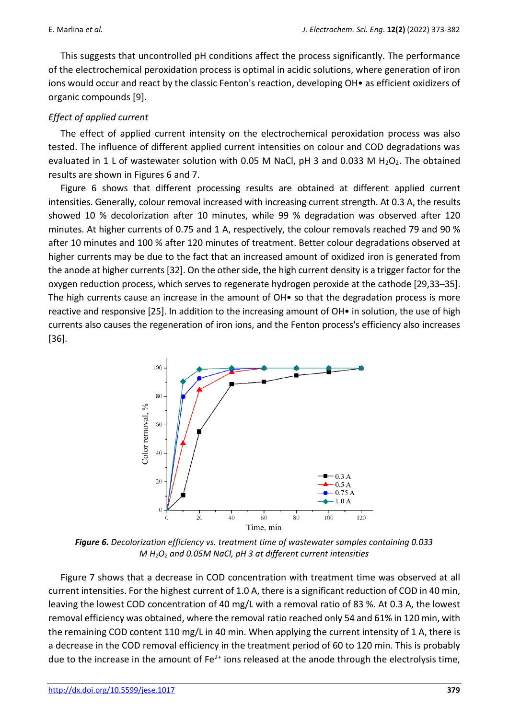This suggests that uncontrolled pH conditions affect the process significantly. The performance of the electrochemical peroxidation process is optimal in acidic solutions, where generation of iron ions would occur and react by the classic Fenton's reaction, developing OH• as efficient oxidizers of organic compounds [9].

# *Effect of applied current*

The effect of applied current intensity on the electrochemical peroxidation process was also tested. The influence of different applied current intensities on colour and COD degradations was evaluated in 1 L of wastewater solution with 0.05 M NaCl, pH 3 and 0.033 M H<sub>2</sub>O<sub>2</sub>. The obtained results are shown in Figures 6 and 7.

Figure 6 shows that different processing results are obtained at different applied current intensities. Generally, colour removal increased with increasing current strength. At 0.3 A, the results showed 10 % decolorization after 10 minutes, while 99 % degradation was observed after 120 minutes. At higher currents of 0.75 and 1 A, respectively, the colour removals reached 79 and 90 % after 10 minutes and 100 % after 120 minutes of treatment. Better colour degradations observed at higher currents may be due to the fact that an increased amount of oxidized iron is generated from the anode at higher currents [32]. On the other side, the high current density is a trigger factor for the oxygen reduction process, which serves to regenerate hydrogen peroxide at the cathode [29,33–35]. The high currents cause an increase in the amount of OH $\bullet$  so that the degradation process is more reactive and responsive [25]. In addition to the increasing amount of OH• in solution, the use of high currents also causes the regeneration of iron ions, and the Fenton process's efficiency also increases [36].



*Figure 6. Decolorization efficiency vs. treatment time of wastewater samples containing 0.033 M H2O<sup>2</sup> and 0.05M NaCl, pH 3 at different current intensities*

Figure 7 shows that a decrease in COD concentration with treatment time was observed at all current intensities. For the highest current of 1.0 A, there is a significant reduction of COD in 40 min, leaving the lowest COD concentration of 40 mg/L with a removal ratio of 83 %. At 0.3 A, the lowest removal efficiency was obtained, where the removal ratio reached only 54 and 61% in 120 min, with the remaining COD content 110 mg/L in 40 min. When applying the current intensity of 1 A, there is a decrease in the COD removal efficiency in the treatment period of 60 to 120 min. This is probably due to the increase in the amount of  $Fe^{2+}$  ions released at the anode through the electrolysis time,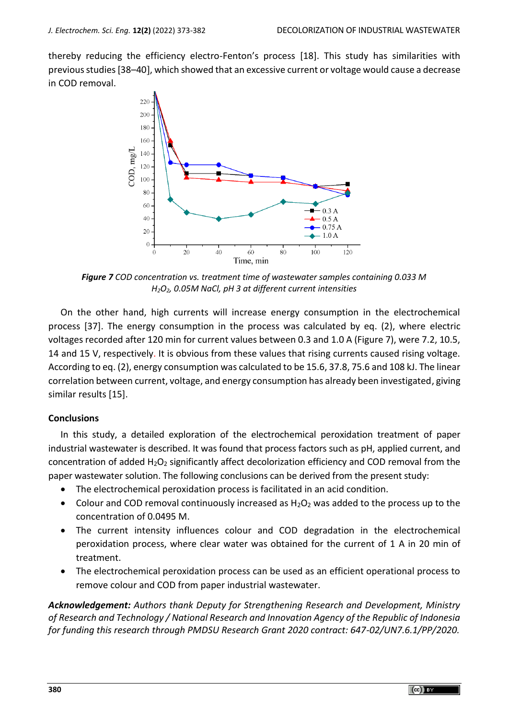thereby reducing the efficiency electro-Fenton's process [18]. This study has similarities with previous studies [38-40], which showed that an excessive current or voltage would cause a decrease in COD removal.



*Figure 7 COD concentration vs. treatment time of wastewater samples containing 0.033 M H2O2, 0.05M NaCl, pH 3 at different current intensities*

On the other hand, high currents will increase energy consumption in the electrochemical process [37]. The energy consumption in the process was calculated by eq. (2), where electric voltages recorded after 120 min for current values between 0.3 and 1.0 A (Figure 7), were 7.2, 10.5, 14 and 15 V, respectively. It is obvious from these values that rising currents caused rising voltage. According to eq. (2), energy consumption was calculated to be 15.6, 37.8, 75.6 and 108 kJ. The linear correlation between current, voltage, and energy consumption has already been investigated, giving similar results [15].

## **Conclusions**

In this study, a detailed exploration of the electrochemical peroxidation treatment of paper industrial wastewater is described. It was found that process factors such as pH, applied current, and concentration of added  $H_2O_2$  significantly affect decolorization efficiency and COD removal from the paper wastewater solution. The following conclusions can be derived from the present study:

- The electrochemical peroxidation process is facilitated in an acid condition.
- Colour and COD removal continuously increased as  $H_2O_2$  was added to the process up to the concentration of 0.0495 M.
- The current intensity influences colour and COD degradation in the electrochemical peroxidation process, where clear water was obtained for the current of 1 A in 20 min of treatment.
- The electrochemical peroxidation process can be used as an efficient operational process to remove colour and COD from paper industrial wastewater.

*Acknowledgement: Authors thank Deputy for Strengthening Research and Development, Ministry of Research and Technology / National Research and Innovation Agency of the Republic of Indonesia for funding this research through PMDSU Research Grant 2020 contract: 647-02/UN7.6.1/PP/2020.*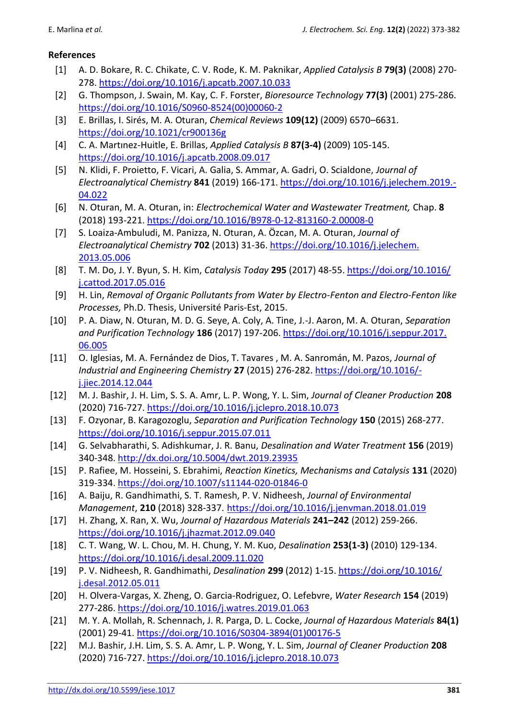# **References**

- [1] A. D. Bokare, R. C. Chikate, C. V. Rode, K. M. Paknikar, *Applied Catalysis B* **79(3)** (2008) 270- 278. <https://doi.org/10.1016/j.apcatb.2007.10.033>
- [2] G. Thompson, J. Swain, M. Kay, C. F. Forster, *Bioresource Technology* **77(3)** (2001) 275-286. [https://doi.org/10.1016/S0960-8524\(00\)00060-2](https://doi.org/10.1016/S0960-8524(00)00060-2)
- [3] E. Brillas, I. Sirés, M. A. Oturan, *Chemical Reviews* **109(12)** (2009) 6570–6631. <https://doi.org/10.1021/cr900136g>
- [4] C. A. Martınez-Huitle, E. Brillas, *Applied Catalysis B* **87(3-4)** (2009) 105-145. <https://doi.org/10.1016/j.apcatb.2008.09.017>
- [5] N. Klidi, F. Proietto, F. Vicari, A. Galia, S. Ammar, A. Gadri, O. Scialdone, *Journal of Electroanalytical Chemistry* **841** (2019) 166-171. [https://doi.org/10.1016/j.jelechem.2019.-](https://doi.org/10.1016/j.jelechem.2019.04.022) [04.022](https://doi.org/10.1016/j.jelechem.2019.04.022)
- [6] N. Oturan, M. A. Oturan, in: *Electrochemical Water and Wastewater Treatment,* Chap. **8**  (2018) 193-221.<https://doi.org/10.1016/B978-0-12-813160-2.00008-0>
- [7] S. Loaiza-Ambuludi, M. Panizza, N. Oturan, A. Özcan, M. A. Oturan, *Journal of Electroanalytical Chemistry* **702** (2013) 31-36. [https://doi.org/10.1016/j.jelechem.](https://doi.org/‌10.1016/‌j.jelechem.‌2013.05.006) [2013.05.006](https://doi.org/‌10.1016/‌j.jelechem.‌2013.05.006)
- [8] T. M. Do, J. Y. Byun, S. H. Kim, *Catalysis Today* **295** (2017) 48-55. [https://doi.org/10.1016/](https://doi.org/10.1016/j.cattod.2017.05.016) [j.cattod.2017.05.016](https://doi.org/10.1016/j.cattod.2017.05.016)
- [9] H. Lin, *Removal of Organic Pollutants from Water by Electro-Fenton and Electro-Fenton like Processes,* Ph.D. Thesis, Université Paris-Est, 2015.
- [10] P. A. Diaw, N. Oturan, M. D. G. Seye, A. Coly, A. Tine, J.-J. Aaron, M. A. Oturan, *Separation and Purification Technology* **186** (2017) 197-206. [https://doi.org/10.1016/j.seppur.2017.](https://doi.org/10.1016/‌j.seppur.2017.‌06.005) [06.005](https://doi.org/10.1016/‌j.seppur.2017.‌06.005)
- [11] O. Iglesias, M. A. Fernández de Dios, T. Tavares , M. A. Sanromán, M. Pazos, *Journal of Industrial and Engineering Chemistry* **27** (2015) 276-282. [https://doi.org/10.1016/](https://doi.org/10.1016/j.jiec.2014.12.044) [j.jiec.2014.12.044](https://doi.org/10.1016/j.jiec.2014.12.044)
- [12] M. J. Bashir, J. H. Lim, S. S. A. Amr, L. P. Wong, Y. L. Sim, *Journal of Cleaner Production* **208**  (2020) 716-727.<https://doi.org/10.1016/j.jclepro.2018.10.073>
- [13] F. Ozyonar, B. Karagozoglu, *Separation and Purification Technology* **150** (2015) 268-277. <https://doi.org/10.1016/j.seppur.2015.07.011>
- [14] G. Selvabharathi, S. Adishkumar, J. R. Banu, *Desalination and Water Treatment* **156** (2019) 340-348. <http://dx.doi.org/10.5004/dwt.2019.23935>
- [15] P. Rafiee, M. Hosseini, S. Ebrahimi, *Reaction Kinetics, Mechanisms and Catalysis* **131** (2020) 319-334.<https://doi.org/10.1007/s11144-020-01846-0>
- [16] A. Baiju, R. Gandhimathi, S. T. Ramesh, P. V. Nidheesh, *Journal of Environmental Management*, **210** (2018) 328-337. <https://doi.org/10.1016/j.jenvman.2018.01.019>
- [17] H. Zhang, X. Ran, X. Wu, *Journal of Hazardous Materials* **241–242** (2012) 259-266. <https://doi.org/10.1016/j.jhazmat.2012.09.040>
- [18] C. T. Wang, W. L. Chou, M. H. Chung, Y. M. Kuo, *Desalination* **253(1-3)** (2010) 129-134. <https://doi.org/10.1016/j.desal.2009.11.020>
- [19] P. V. Nidheesh, R. Gandhimathi, *Desalination* **299** (2012) 1-15. [https://doi.org/10.1016/](https://doi.org/10.1016/j.desal.2012.05.011) [j.desal.2012.05.011](https://doi.org/10.1016/j.desal.2012.05.011)
- [20] H. Olvera-Vargas, X. Zheng, O. Garcia-Rodriguez, O. Lefebvre, *Water Research* **154** (2019) 277-286.<https://doi.org/10.1016/j.watres.2019.01.063>
- [21] M. Y. A. Mollah, R. Schennach, J. R. Parga, D. L. Cocke, *Journal of Hazardous Materials* **84(1)** (2001) 29-41. [https://doi.org/10.1016/S0304-3894\(01\)00176-5](https://doi.org/10.1016/S0304-3894(01)00176-5)
- [22] M.J. Bashir, J.H. Lim, S. S. A. Amr, L. P. Wong, Y. L. Sim, *Journal of Cleaner Production* **208**  (2020) 716-727. <https://doi.org/10.1016/j.jclepro.2018.10.073>